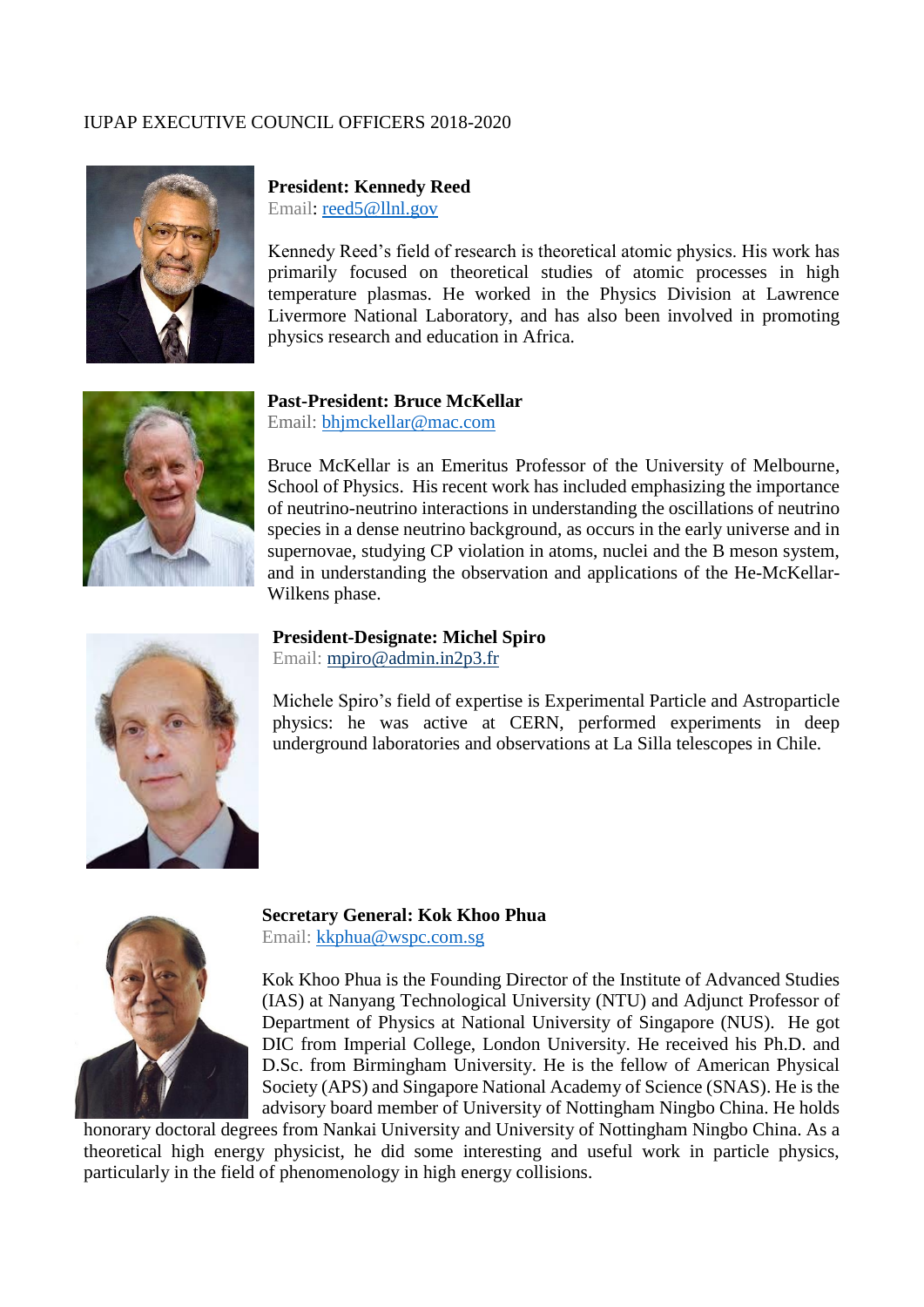## IUPAP EXECUTIVE COUNCIL OFFICERS 2018-2020



## **President: Kennedy Reed** Email: [reed5@llnl.gov](mailto:reed5@llnl.gov)

Kennedy Reed's field of research is theoretical atomic physics. His work has primarily focused on theoretical studies of atomic processes in high temperature plasmas. He worked in the Physics Division at Lawrence Livermore National Laboratory, and has also been involved in promoting physics research and education in Africa.



#### **Past-President: Bruce McKellar** Email: [bhjmckellar@mac.com](mailto:bhjmckellar@mac.com)

Bruce McKellar is an Emeritus Professor of the University of Melbourne, School of Physics. His recent work has included emphasizing the importance of neutrino-neutrino interactions in understanding the oscillations of neutrino species in a dense neutrino background, as occurs in the early universe and in supernovae, studying CP violation in atoms, nuclei and the B meson system, and in understanding the observation and applications of the He-McKellar-Wilkens phase.



#### **President-Designate: Michel Spiro** Email: [mpiro@admin.in2p3.fr](mailto:mpiro@admin.in2p3.fr)

Michele Spiro's field of expertise is Experimental Particle and Astroparticle physics: he was active at CERN, performed experiments in deep underground laboratories and observations at La Silla telescopes in Chile.



**Secretary General: Kok Khoo Phua** Email: [kkphua@wspc.com.sg](mailto:kkphua@wspc.com.sg)

Kok Khoo Phua is the Founding Director of the Institute of Advanced Studies (IAS) at Nanyang Technological University (NTU) and Adjunct Professor of Department of Physics at National University of Singapore (NUS). He got DIC from Imperial College, London University. He received his Ph.D. and D.Sc. from Birmingham University. He is the fellow of American Physical Society (APS) and Singapore National Academy of Science (SNAS). He is the advisory board member of University of Nottingham Ningbo China. He holds

honorary doctoral degrees from Nankai University and University of Nottingham Ningbo China. As a theoretical high energy physicist, he did some interesting and useful work in particle physics, particularly in the field of phenomenology in high energy collisions.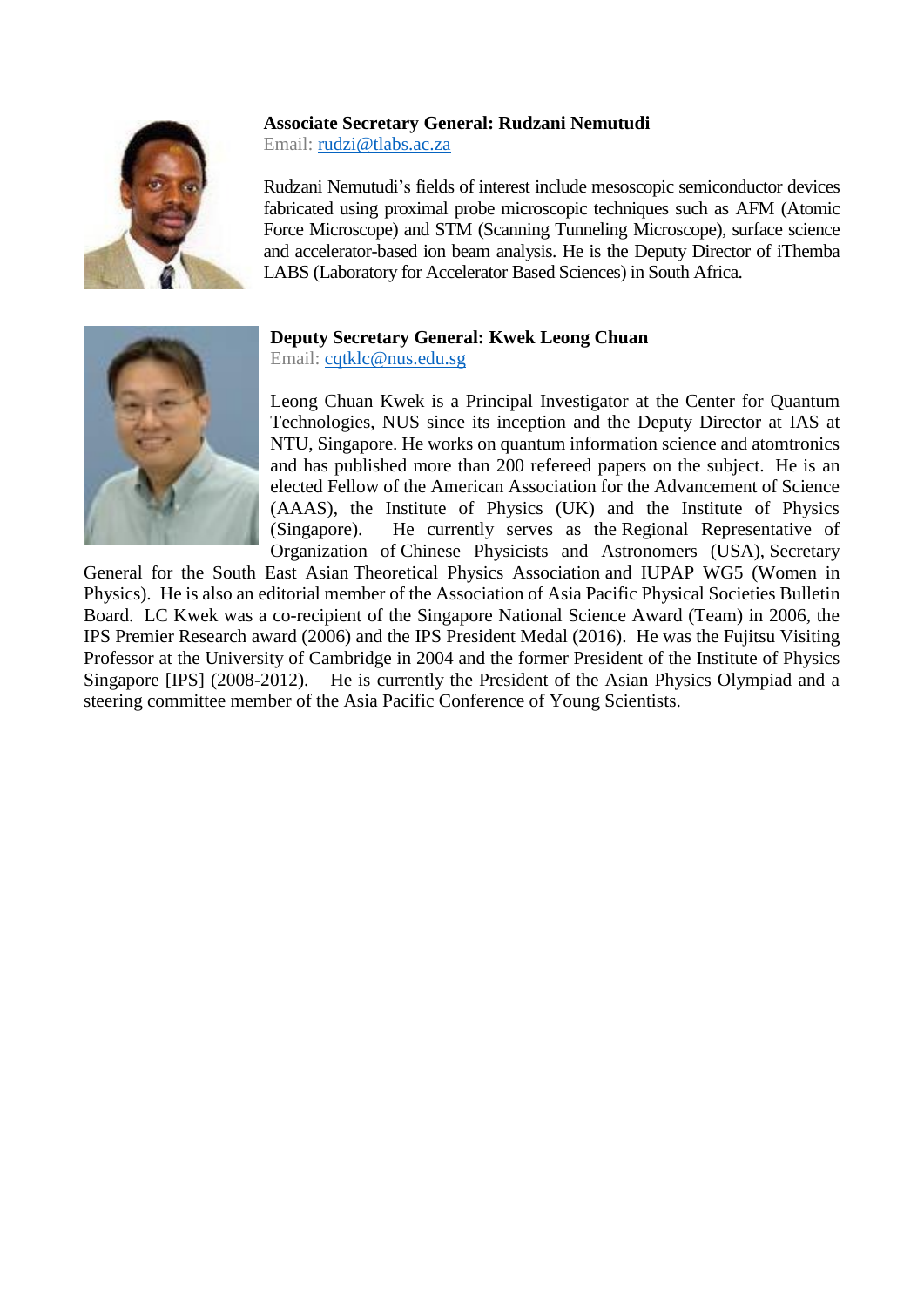## **Associate Secretary General: Rudzani Nemutudi**



Email: [rudzi@tlabs.ac.za](mailto:rudzi@tlabs.ac.za)

Rudzani Nemutudi's fields of interest include mesoscopic semiconductor devices fabricated using proximal probe microscopic techniques such as AFM (Atomic Force Microscope) and STM (Scanning Tunneling Microscope), surface science and accelerator-based ion beam analysis. He is the Deputy Director of iThemba LABS (Laboratory for Accelerator Based Sciences) in South Africa.



# **Deputy Secretary General: Kwek Leong Chuan**

Email: [cqtklc@nus.edu.sg](mailto:cqtklc@nus.edu.sg)

Leong Chuan Kwek is a Principal Investigator at the Center for Quantum Technologies, NUS since its inception and the Deputy Director at IAS at NTU, Singapore. He works on quantum information science and atomtronics and has published more than 200 refereed papers on the subject. He is an elected Fellow of the American Association for the Advancement of Science (AAAS), the Institute of Physics (UK) and the Institute of Physics (Singapore). He currently serves as the Regional Representative of Organization of Chinese Physicists and Astronomers (USA), Secretary

General for the South East Asian Theoretical Physics Association and IUPAP WG5 (Women in Physics). He is also an editorial member of the Association of Asia Pacific Physical Societies Bulletin Board. LC Kwek was a co-recipient of the Singapore National Science Award (Team) in 2006, the IPS Premier Research award (2006) and the IPS President Medal (2016). He was the Fujitsu Visiting Professor at the University of Cambridge in 2004 and the former President of the Institute of Physics Singapore [IPS] (2008-2012). He is currently the President of the Asian Physics Olympiad and a steering committee member of the Asia Pacific Conference of Young Scientists.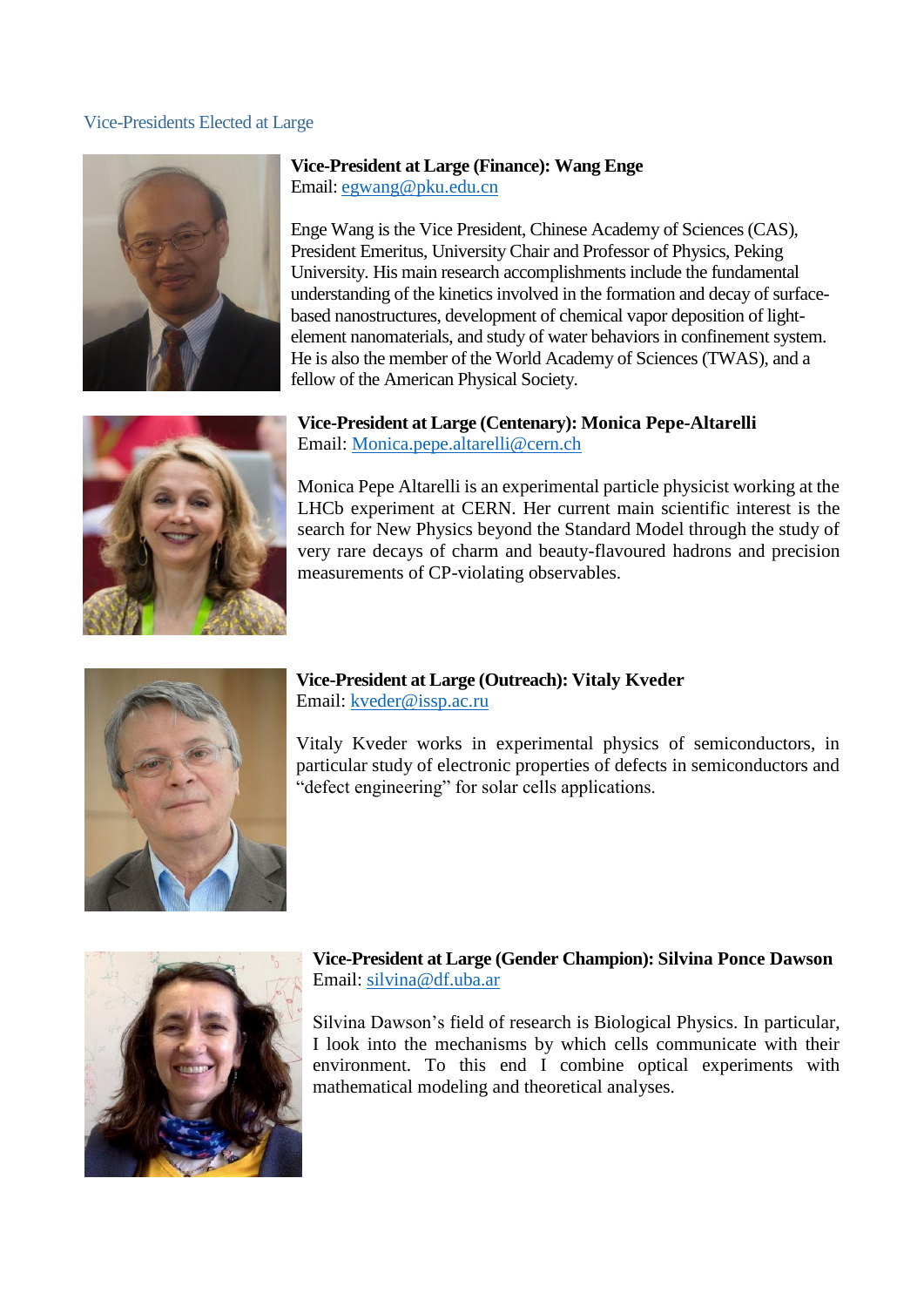#### Vice-Presidents Elected at Large



**Vice-President at Large (Finance): Wang Enge**  Email: [egwang@pku.edu.cn](mailto:egwang@pku.edu.cn)

Enge Wang is the Vice President, Chinese Academy of Sciences (CAS), President Emeritus, University Chair and Professor of Physics, Peking University. His main research accomplishments include the fundamental understanding of the kinetics involved in the formation and decay of surfacebased nanostructures, development of chemical vapor deposition of lightelement nanomaterials, and study of water behaviors in confinement system. He is also the member of the World Academy of Sciences (TWAS), and a fellow of the American Physical Society.

**Vice-President at Large (Centenary): Monica Pepe-Altarelli** Email: [Monica.pepe.altarelli@cern.ch](mailto:Monica.pepe.altarelli@cern.ch)

Monica Pepe Altarelli is an experimental particle physicist working at the LHCb experiment at CERN. Her current main scientific interest is the search for New Physics beyond the Standard Model through the study of very rare decays of charm and beauty-flavoured hadrons and precision measurements of CP-violating observables.



#### **Vice-President at Large (Outreach): Vitaly Kveder** Email: [kveder@issp.ac.ru](mailto:kveder@issp.ac.ru)

Vitaly Kveder works in experimental physics of semiconductors, in particular study of electronic properties of defects in semiconductors and "defect engineering" for solar cells applications.



## **Vice-President at Large (Gender Champion): Silvina Ponce Dawson** Email: [silvina@df.uba.ar](mailto:silvina@df.uba.ar)

Silvina Dawson's field of research is Biological Physics. In particular, I look into the mechanisms by which cells communicate with their environment. To this end I combine optical experiments with mathematical modeling and theoretical analyses.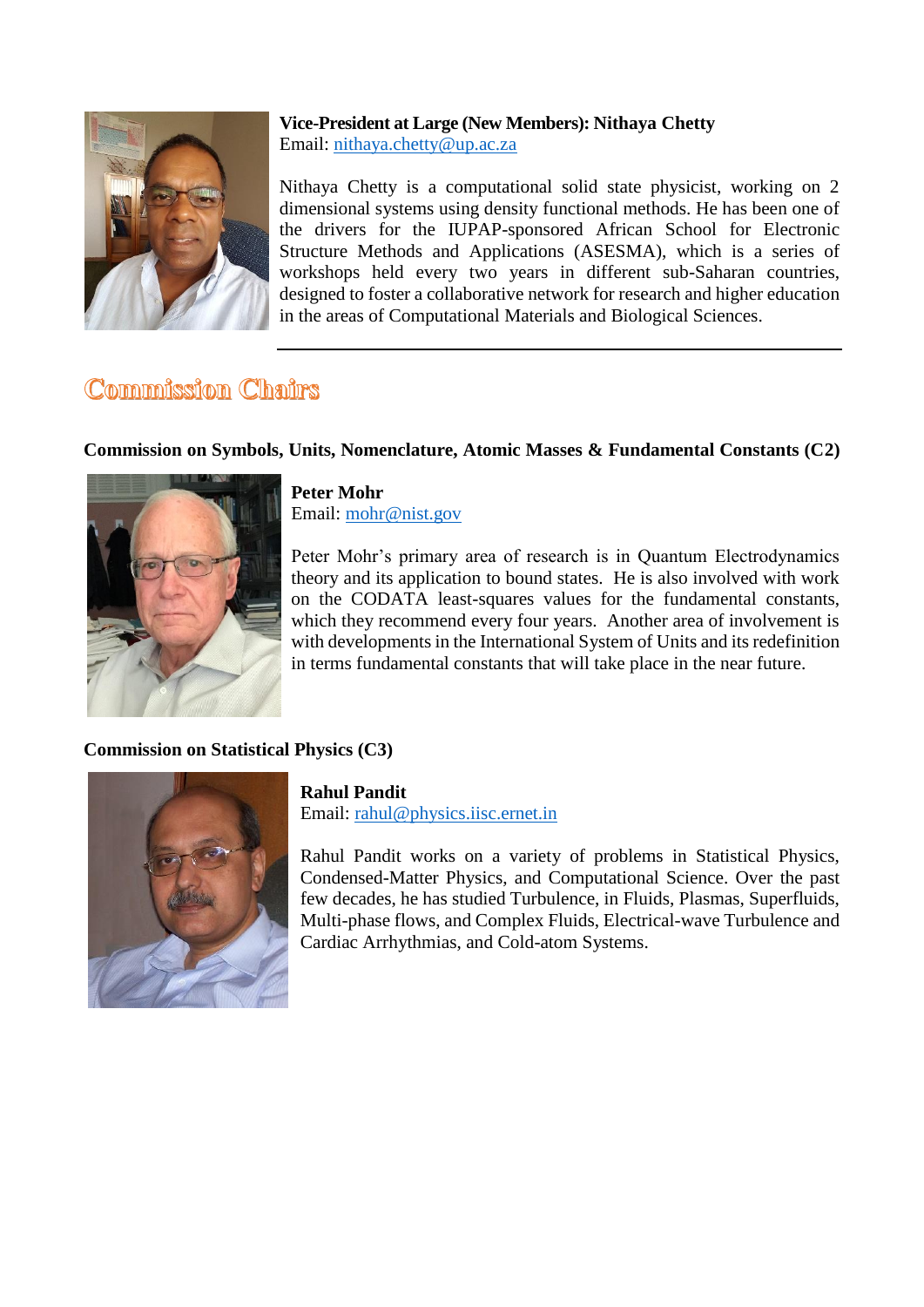

## **Vice-President at Large (New Members): Nithaya Chetty** Email: [nithaya.chetty@up.ac.za](mailto:nithaya.chetty@up.ac.za)

Nithaya Chetty is a computational solid state physicist, working on 2 dimensional systems using density functional methods. He has been one of the drivers for the IUPAP-sponsored African School for Electronic Structure Methods and Applications (ASESMA), which is a series of workshops held every two years in different sub-Saharan countries, designed to foster a collaborative network for research and higher education in the areas of Computational Materials and Biological Sciences.

# Commission Chairs

# **Commission on Symbols, Units, Nomenclature, Atomic Masses & Fundamental Constants (C2)**



**Peter Mohr** Email: [mohr@nist.gov](mailto:mohr@nist.gov)

Peter Mohr's primary area of research is in Quantum Electrodynamics theory and its application to bound states. He is also involved with work on the CODATA least-squares values for the fundamental constants, which they recommend every four years. Another area of involvement is with developments in the International System of Units and its redefinition in terms fundamental constants that will take place in the near future.

# **Commission on Statistical Physics (C3)**



# **Rahul Pandit**

Email: [rahul@physics.iisc.ernet.in](mailto:rahul@physics.iisc.ernet.in)

Rahul Pandit works on a variety of problems in Statistical Physics, Condensed-Matter Physics, and Computational Science. Over the past few decades, he has studied Turbulence, in Fluids, Plasmas, Superfluids, Multi-phase flows, and Complex Fluids, Electrical-wave Turbulence and Cardiac Arrhythmias, and Cold-atom Systems.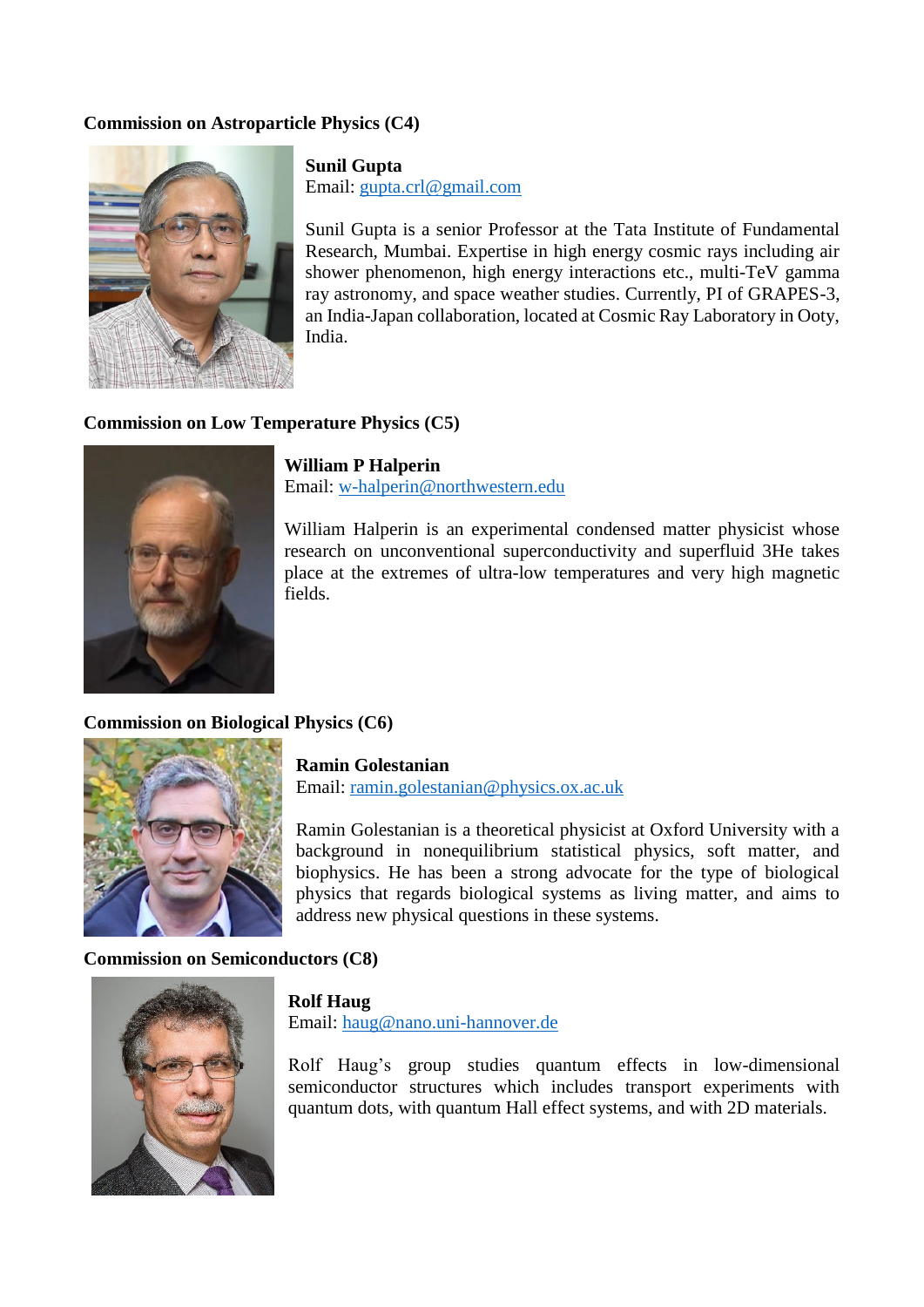## **Commission on Astroparticle Physics (C4)**



**Sunil Gupta** Email: [gupta.crl@gmail.com](mailto:gupta.crl@gmail.com)

Sunil Gupta is a senior Professor at the Tata Institute of Fundamental Research, Mumbai. Expertise in high energy cosmic rays including air shower phenomenon, high energy interactions etc., multi-TeV gamma ray astronomy, and space weather studies. Currently, PI of GRAPES-3, an India-Japan collaboration, located at Cosmic Ray Laboratory in Ooty, India.

#### **Commission on Low Temperature Physics (C5)**



**William P Halperin** Email: [w-halperin@northwestern.edu](mailto:w-halperin@northwestern.edu)

William Halperin is an experimental condensed matter physicist whose research on unconventional superconductivity and superfluid 3He takes place at the extremes of ultra-low temperatures and very high magnetic fields.

**Commission on Biological Physics (C6)**



**Ramin Golestanian** Email: [ramin.golestanian@physics.ox.ac.uk](mailto:ramin.golestanian@physics.ox.ac.uk)

Ramin Golestanian is a theoretical physicist at Oxford University with a background in nonequilibrium statistical physics, soft matter, and biophysics. He has been a strong advocate for the type of biological physics that regards biological systems as living matter, and aims to address new physical questions in these systems.

#### **Commission on Semiconductors (C8)**



## **Rolf Haug**

Email: [haug@nano.uni-hannover.de](mailto:haug@nano.uni-hannover.de)

Rolf Haug's group studies quantum effects in low-dimensional semiconductor structures which includes transport experiments with quantum dots, with quantum Hall effect systems, and with 2D materials.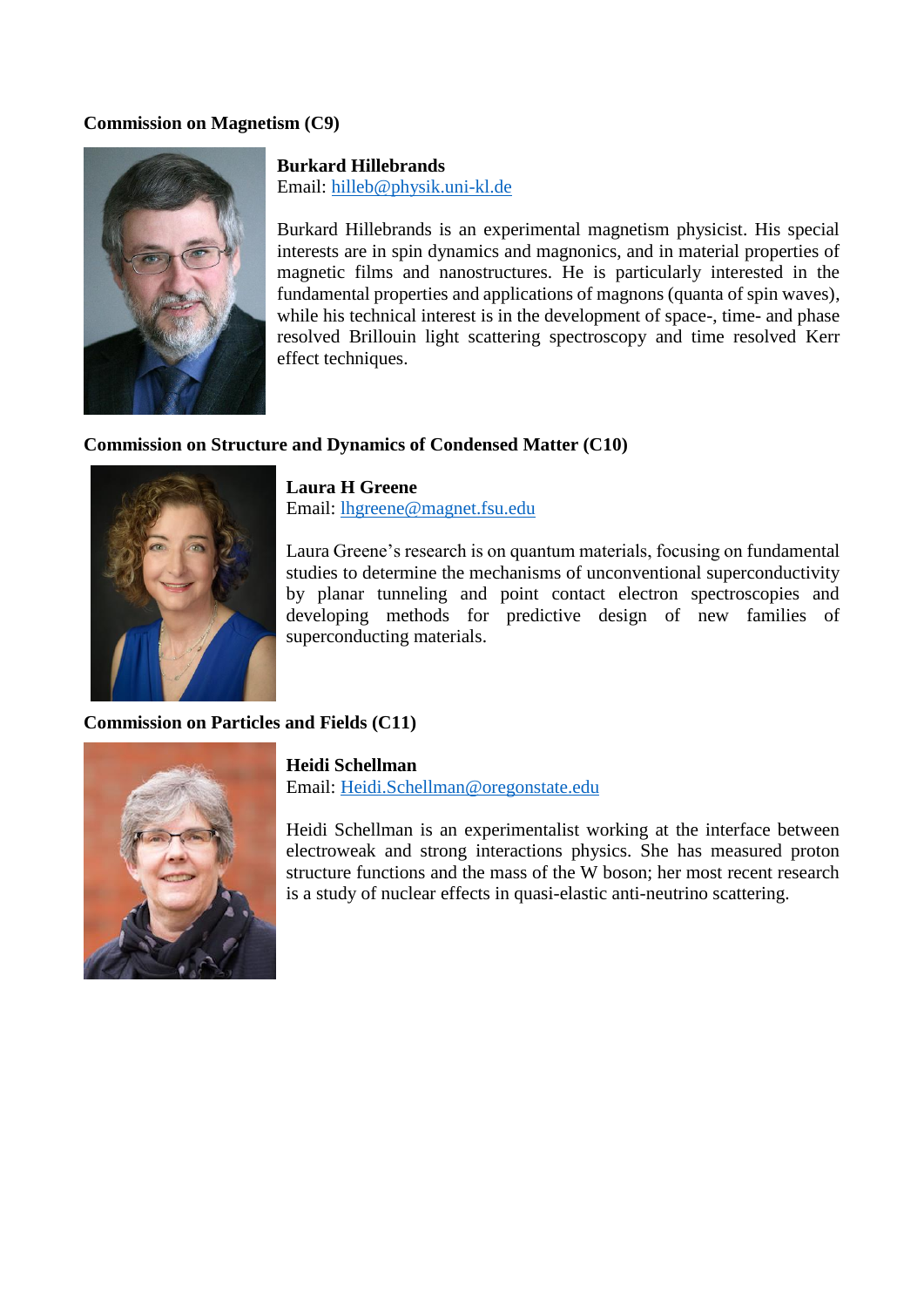## **Commission on Magnetism (C9)**



## **Burkard Hillebrands**

Email: [hilleb@physik.uni-kl.de](mailto:hilleb@physik.uni-kl.de)

Burkard Hillebrands is an experimental magnetism physicist. His special interests are in spin dynamics and magnonics, and in material properties of magnetic films and nanostructures. He is particularly interested in the fundamental properties and applications of magnons (quanta of spin waves), while his technical interest is in the development of space-, time- and phase resolved Brillouin light scattering spectroscopy and time resolved Kerr effect techniques.

#### **Commission on Structure and Dynamics of Condensed Matter (C10)**



**Laura H Greene** Email: [lhgreene@magnet.fsu.edu](mailto:lhgreene@magnet.fsu.edu)

Laura Greene's research is on quantum materials, focusing on fundamental studies to determine the mechanisms of unconventional superconductivity by planar tunneling and point contact electron spectroscopies and developing methods for predictive design of new families of superconducting materials.

#### **Commission on Particles and Fields (C11)**



**Heidi Schellman** Email: [Heidi.Schellman@oregonstate.edu](mailto:Heidi.Schellman@oregonstate.edu)

Heidi Schellman is an experimentalist working at the interface between electroweak and strong interactions physics. She has measured proton structure functions and the mass of the W boson; her most recent research is a study of nuclear effects in quasi-elastic anti-neutrino scattering.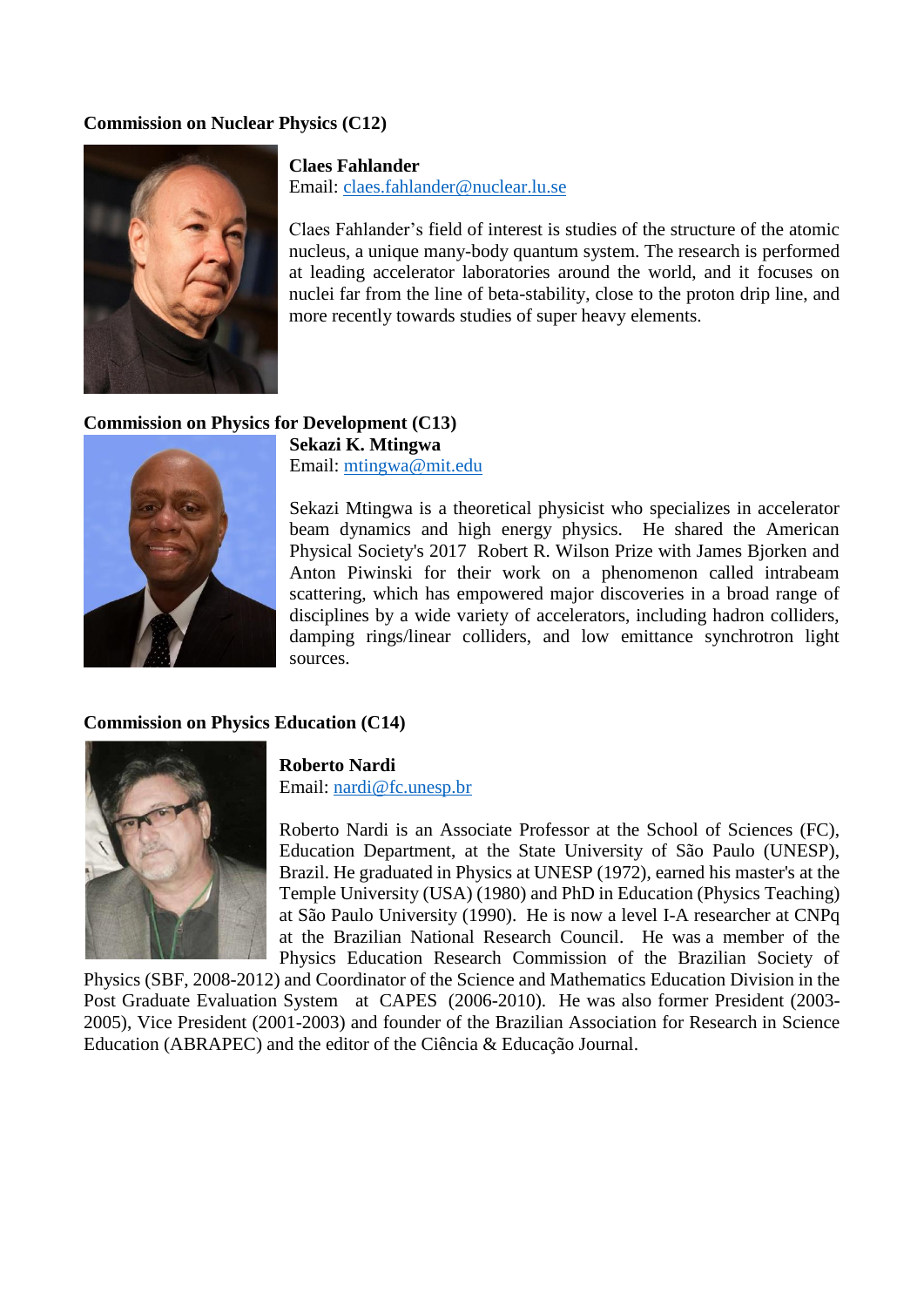## **Commission on Nuclear Physics (C12)**



**Claes Fahlander** Email: [claes.fahlander@nuclear.lu.se](mailto:claes.fahlander@nuclear.lu.se)

Claes Fahlander's field of interest is studies of the structure of the atomic nucleus, a unique many-body quantum system. The research is performed at leading accelerator laboratories around the world, and it focuses on nuclei far from the line of beta-stability, close to the proton drip line, and more recently towards studies of super heavy elements.

#### **Commission on Physics for Development (C13)**



**Sekazi K. Mtingwa** Email: [mtingwa@mit.edu](mailto:mtingwa@mit.edu)

Sekazi Mtingwa is a theoretical physicist who specializes in accelerator beam dynamics and high energy physics. He shared the American Physical Society's 2017 Robert R. Wilson Prize with James Bjorken and Anton Piwinski for their work on a phenomenon called intrabeam scattering, which has empowered major discoveries in a broad range of disciplines by a wide variety of accelerators, including hadron colliders, damping rings/linear colliders, and low emittance synchrotron light sources.

#### **Commission on Physics Education (C14)**



**Roberto Nardi** Email: [nardi@fc.unesp.br](mailto:nardi@fc.unesp.br)

Roberto Nardi is an Associate Professor at the School of Sciences (FC), Education Department, at the State University of São Paulo (UNESP), Brazil. He graduated in Physics at UNESP (1972), earned his master's at the Temple University (USA) (1980) and PhD in Education (Physics Teaching) at São Paulo University (1990). He is now a level I-A researcher at CNPq at the Brazilian National Research Council. He was a member of the Physics Education Research Commission of the Brazilian Society of

Physics (SBF, 2008-2012) and Coordinator of the Science and Mathematics Education Division in the Post Graduate Evaluation System at CAPES (2006-2010). He was also former President (2003- 2005), Vice President (2001-2003) and founder of the Brazilian Association for Research in Science Education (ABRAPEC) and the editor of the Ciência & Educação Journal.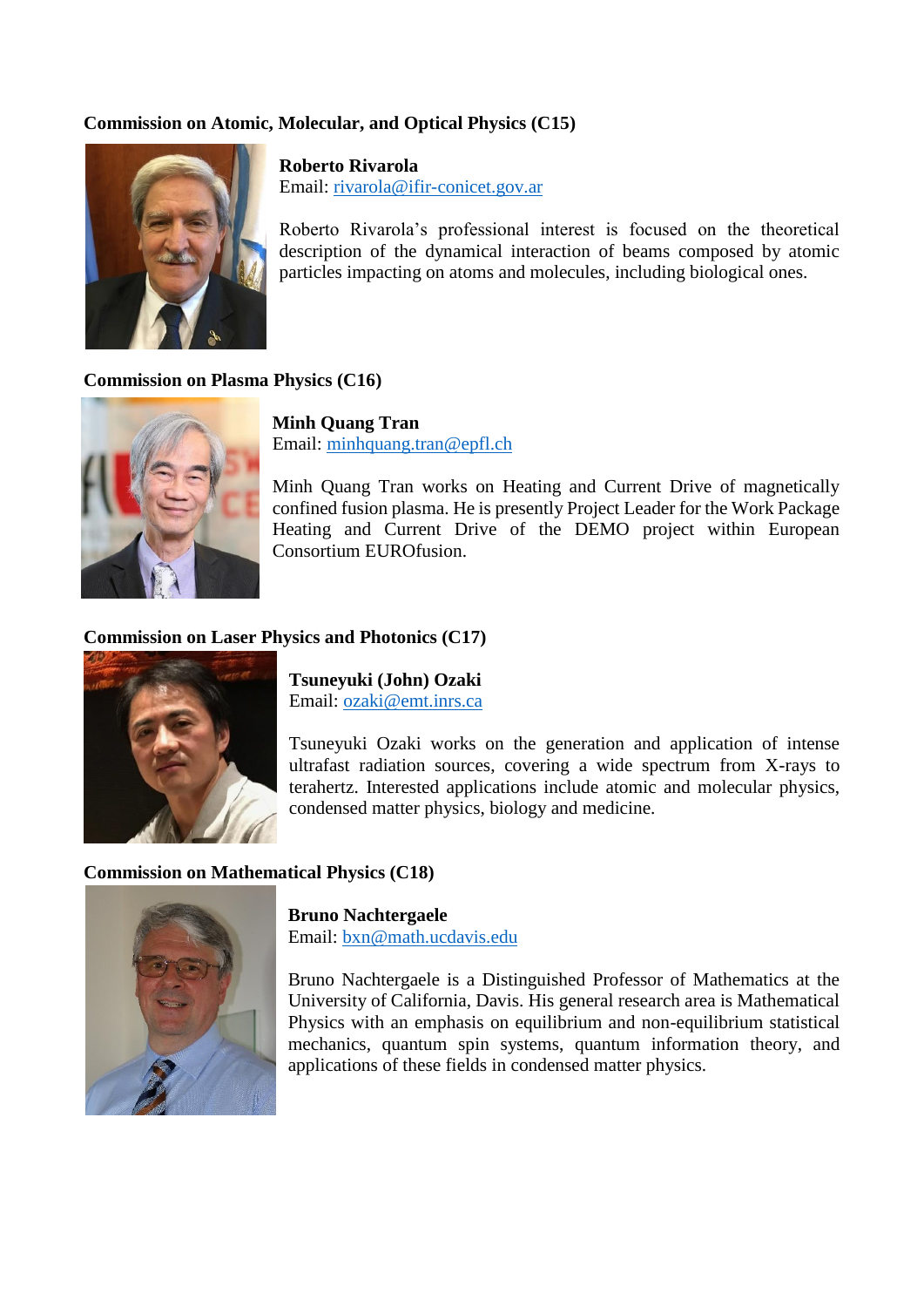## **Commission on Atomic, Molecular, and Optical Physics (C15)**



**Roberto Rivarola** Email: [rivarola@ifir-conicet.gov.ar](mailto:rivarola@ifir-conicet.gov.ar)

Roberto Rivarola's professional interest is focused on the theoretical description of the dynamical interaction of beams composed by atomic particles impacting on atoms and molecules, including biological ones.

#### **Commission on Plasma Physics (C16)**



**Minh Quang Tran** Email: [minhquang.tran@epfl.ch](mailto:minhquang.tran@epfl.ch)

Minh Quang Tran works on Heating and Current Drive of magnetically confined fusion plasma. He is presently Project Leader for the Work Package Heating and Current Drive of the DEMO project within European Consortium EUROfusion.

## **Commission on Laser Physics and Photonics (C17)**



**Tsuneyuki (John) Ozaki** Email: [ozaki@emt.inrs.ca](mailto:ozaki@emt.inrs.ca)

Tsuneyuki Ozaki works on the generation and application of intense ultrafast radiation sources, covering a wide spectrum from X-rays to terahertz. Interested applications include atomic and molecular physics, condensed matter physics, biology and medicine.

## **Commission on Mathematical Physics (C18)**



**Bruno Nachtergaele**

Email: [bxn@math.ucdavis.edu](mailto:bxn@math.ucdavis.edu)

Bruno Nachtergaele is a Distinguished Professor of Mathematics at the University of California, Davis. His general research area is Mathematical Physics with an emphasis on equilibrium and non-equilibrium statistical mechanics, quantum spin systems, quantum information theory, and applications of these fields in condensed matter physics.